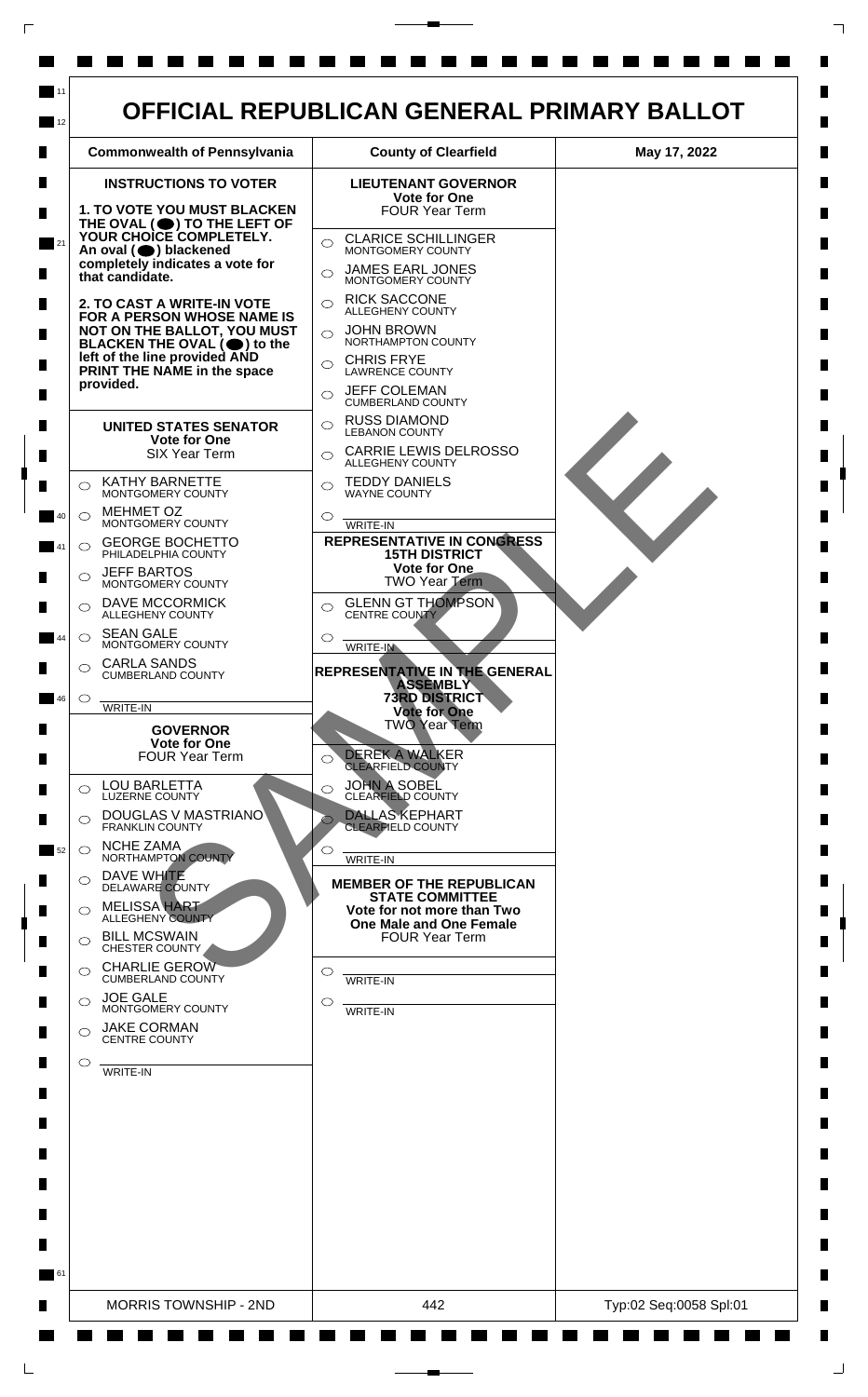

 $\Box$ 

 $\Box$